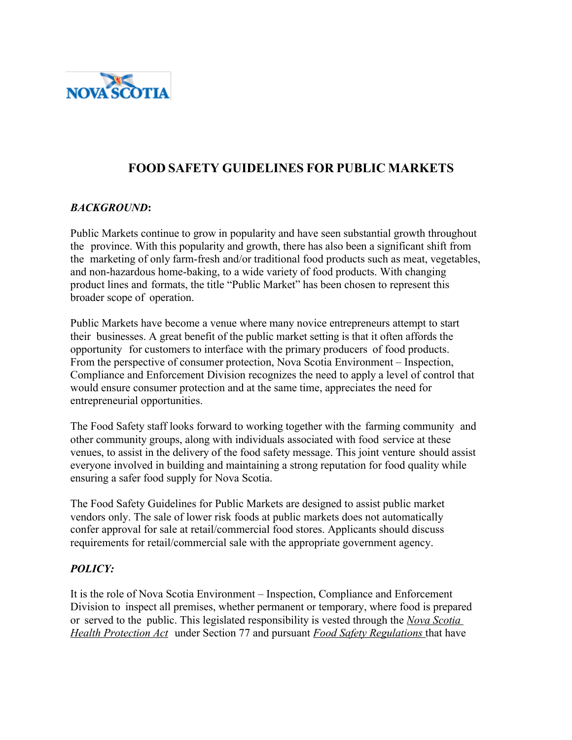

# **FOOD SAFETY GUIDELINES FOR PUBLIC MARKETS**

### *BACKGROUND***:**

Public Markets continue to grow in popularity and have seen substantial growth throughout the province. With this popularity and growth, there has also been a significant shift from the marketing of only farm-fresh and/or traditional food products such as meat, vegetables, and non-hazardous home-baking, to a wide variety of food products. With changing product lines and formats, the title "Public Market" has been chosen to represent this broader scope of operation.

Public Markets have become a venue where many novice entrepreneurs attempt to start their businesses. A great benefit of the public market setting is that it often affords the opportunity for customers to interface with the primary producers of food products. From the perspective of consumer protection, Nova Scotia Environment – Inspection, Compliance and Enforcement Division recognizes the need to apply a level of control that would ensure consumer protection and at the same time, appreciates the need for entrepreneurial opportunities.

The Food Safety staff looks forward to working together with the farming community and other community groups, along with individuals associated with food service at these venues, to assist in the delivery of the food safety message. This joint venture should assist everyone involved in building and maintaining a strong reputation for food quality while ensuring a safer food supply for Nova Scotia.

The Food Safety Guidelines for Public Markets are designed to assist public market vendors only. The sale of lower risk foods at public markets does not automatically confer approval for sale at retail/commercial food stores. Applicants should discuss requirements for retail/commercial sale with the appropriate government agency.

#### *POLICY:*

It is the role of Nova Scotia Environment – Inspection, Compliance and Enforcement Division to inspect all premises, whether permanent or temporary, where food is prepared or served to the public. This legislated responsibility is vested through the *Nova Scotia Health Protection Act* under Section 77 and pursuant *Food Safety Regulations* that have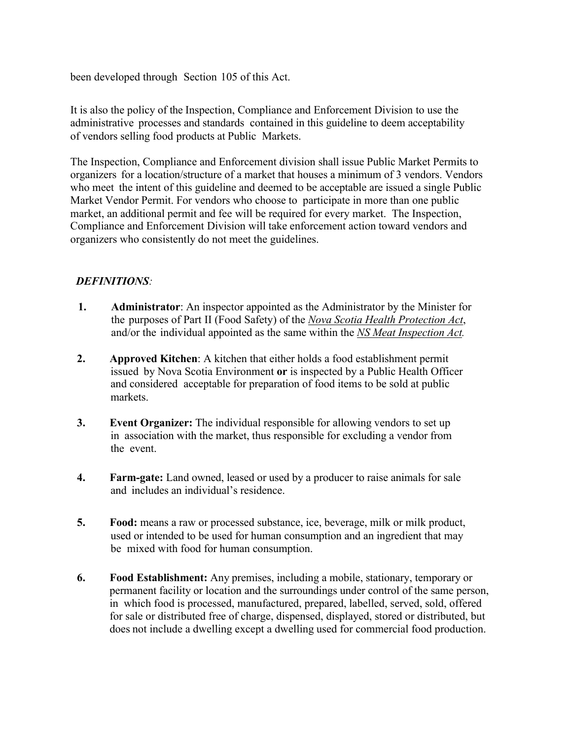been developed through Section 105 of this Act.

It is also the policy of the Inspection, Compliance and Enforcement Division to use the administrative processes and standards contained in this guideline to deem acceptability of vendors selling food products at Public Markets.

The Inspection, Compliance and Enforcement division shall issue Public Market Permits to organizers for a location/structure of a market that houses a minimum of 3 vendors. Vendors who meet the intent of this guideline and deemed to be acceptable are issued a single Public Market Vendor Permit. For vendors who choose to participate in more than one public market, an additional permit and fee will be required for every market. The Inspection, Compliance and Enforcement Division will take enforcement action toward vendors and organizers who consistently do not meet the guidelines.

### *DEFINITIONS:*

- **1. Administrator**: An inspector appointed as the Administrator by the Minister for the purposes of Part II (Food Safety) of the *Nova Scotia Health Protection Act*, and/or the individual appointed as the same within the *NS Meat Inspection Act.*
- **2. Approved Kitchen**: A kitchen that either holds a food establishment permit issued by Nova Scotia Environment **or** is inspected by a Public Health Officer and considered acceptable for preparation of food items to be sold at public markets.
- **3. Event Organizer:** The individual responsible for allowing vendors to set up in association with the market, thus responsible for excluding a vendor from the event.
- **4. Farm-gate:** Land owned, leased or used by a producer to raise animals for sale and includes an individual's residence.
- **5. Food:** means a raw or processed substance, ice, beverage, milk or milk product, used or intended to be used for human consumption and an ingredient that may be mixed with food for human consumption.
- **6. Food Establishment:** Any premises, including a mobile, stationary, temporary or permanent facility or location and the surroundings under control of the same person, in which food is processed, manufactured, prepared, labelled, served, sold, offered for sale or distributed free of charge, dispensed, displayed, stored or distributed, but does not include a dwelling except a dwelling used for commercial food production.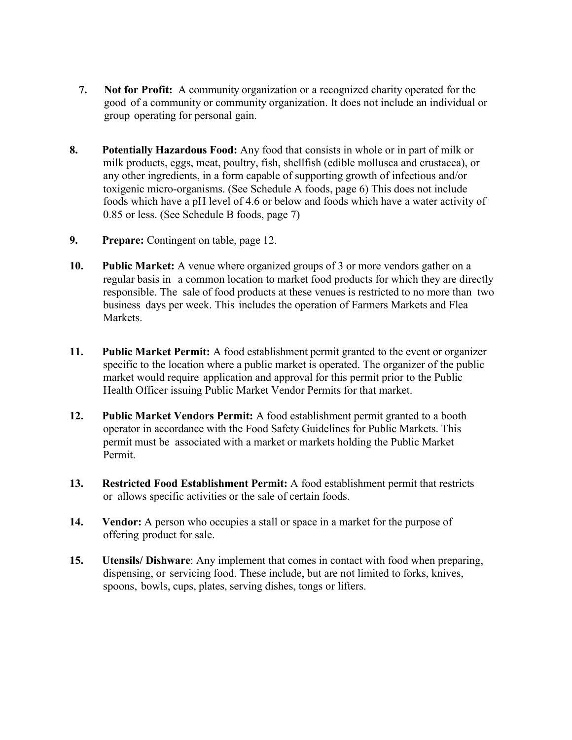- **7. Not for Profit:** A community organization or a recognized charity operated for the good of a community or community organization. It does not include an individual or group operating for personal gain.
- **8. Potentially Hazardous Food:** Any food that consists in whole or in part of milk or milk products, eggs, meat, poultry, fish, shellfish (edible mollusca and crustacea), or any other ingredients, in a form capable of supporting growth of infectious and/or toxigenic micro-organisms. (See Schedule A foods, page 6) This does not include foods which have a pH level of 4.6 or below and foods which have a water activity of 0.85 or less. (See Schedule B foods, page 7)
- **9. Prepare:** Contingent on table, page 12.
- **10. Public Market:** A venue where organized groups of 3 or more vendors gather on a regular basis in a common location to market food products for which they are directly responsible. The sale of food products at these venues is restricted to no more than two business days per week. This includes the operation of Farmers Markets and Flea Markets.
- **11. Public Market Permit:** A food establishment permit granted to the event or organizer specific to the location where a public market is operated. The organizer of the public market would require application and approval for this permit prior to the Public Health Officer issuing Public Market Vendor Permits for that market.
- **12. Public Market Vendors Permit:** A food establishment permit granted to a booth operator in accordance with the Food Safety Guidelines for Public Markets. This permit must be associated with a market or markets holding the Public Market Permit.
- **13. Restricted Food Establishment Permit:** A food establishment permit that restricts or allows specific activities or the sale of certain foods.
- **14. Vendor:** A person who occupies a stall or space in a market for the purpose of offering product for sale.
- **15. Utensils/ Dishware**: Any implement that comes in contact with food when preparing, dispensing, or servicing food. These include, but are not limited to forks, knives, spoons, bowls, cups, plates, serving dishes, tongs or lifters.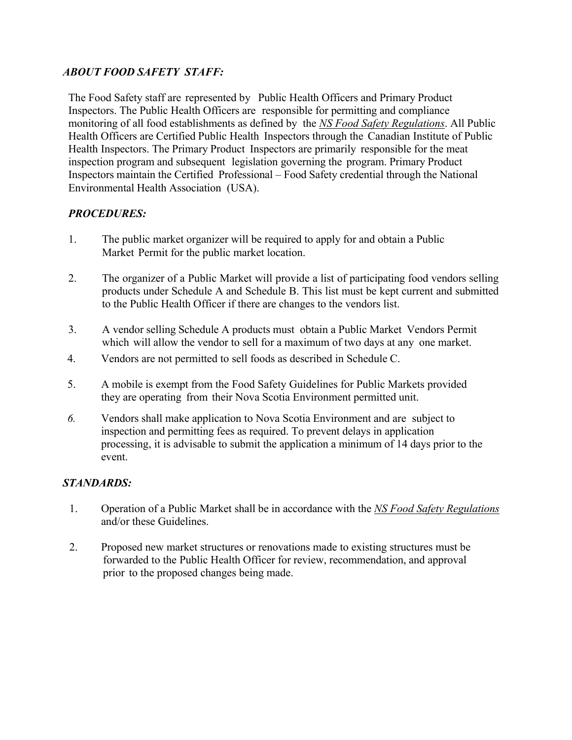### *ABOUT FOOD SAFETY STAFF:*

The Food Safety staff are represented by Public Health Officers and Primary Product Inspectors. The Public Health Officers are responsible for permitting and compliance monitoring of all food establishments as defined by the *NS Food Safety Regulations*. All Public Health Officers are Certified Public Health Inspectors through the Canadian Institute of Public Health Inspectors. The Primary Product Inspectors are primarily responsible for the meat inspection program and subsequent legislation governing the program. Primary Product Inspectors maintain the Certified Professional – Food Safety credential through the National Environmental Health Association (USA).

### *PROCEDURES:*

- 1. The public market organizer will be required to apply for and obtain a Public Market Permit for the public market location.
- 2. The organizer of a Public Market will provide a list of participating food vendors selling products under Schedule A and Schedule B. This list must be kept current and submitted to the Public Health Officer if there are changes to the vendors list.
- 3. A vendor selling Schedule A products must obtain a Public Market Vendors Permit which will allow the vendor to sell for a maximum of two days at any one market.
- 4. Vendors are not permitted to sell foods as described in Schedule C.
- 5. A mobile is exempt from the Food Safety Guidelines for Public Markets provided they are operating from their Nova Scotia Environment permitted unit.
- *6.* Vendors shall make application to Nova Scotia Environment and are subject to inspection and permitting fees as required. To prevent delays in application processing, it is advisable to submit the application a minimum of 14 days prior to the event.

### *STANDARDS:*

- 1. Operation of a Public Market shall be in accordance with the *NS Food Safety Regulations* and/or these Guidelines.
- 2. Proposed new market structures or renovations made to existing structures must be forwarded to the Public Health Officer for review, recommendation, and approval prior to the proposed changes being made.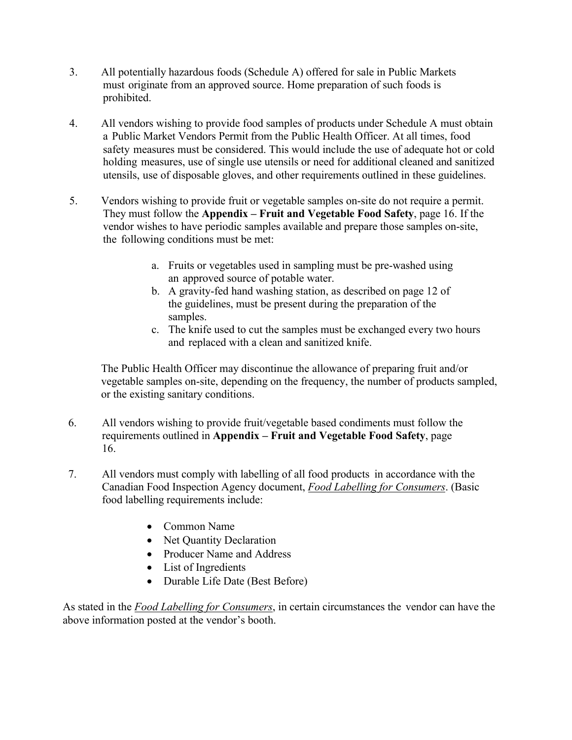- 3. All potentially hazardous foods (Schedule A) offered for sale in Public Markets must originate from an approved source. Home preparation of such foods is prohibited.
- 4. All vendors wishing to provide food samples of products under Schedule A must obtain a Public Market Vendors Permit from the Public Health Officer. At all times, food safety measures must be considered. This would include the use of adequate hot or cold holding measures, use of single use utensils or need for additional cleaned and sanitized utensils, use of disposable gloves, and other requirements outlined in these guidelines.
- 5. Vendors wishing to provide fruit or vegetable samples on-site do not require a permit. They must follow the **Appendix – Fruit and Vegetable Food Safety**, page 16. If the vendor wishes to have periodic samples available and prepare those samples on-site, the following conditions must be met:
	- a. Fruits or vegetables used in sampling must be pre-washed using an approved source of potable water.
	- b. A gravity-fed hand washing station, as described on page 12 of the guidelines, must be present during the preparation of the samples.
	- c. The knife used to cut the samples must be exchanged every two hours and replaced with a clean and sanitized knife.

The Public Health Officer may discontinue the allowance of preparing fruit and/or vegetable samples on-site, depending on the frequency, the number of products sampled, or the existing sanitary conditions.

- 6. All vendors wishing to provide fruit/vegetable based condiments must follow the requirements outlined in **Appendix – Fruit and Vegetable Food Safety**, page 16.
- 7. All vendors must comply with labelling of all food products in accordance with the Canadian Food Inspection Agency document, *Food Labelling for Consumers*. (Basic food labelling requirements include:
	- Common Name
	- Net Quantity Declaration
	- Producer Name and Address
	- List of Ingredients
	- Durable Life Date (Best Before)

As stated in the *Food Labelling for Consumers*, in certain circumstances the vendor can have the above information posted at the vendor's booth.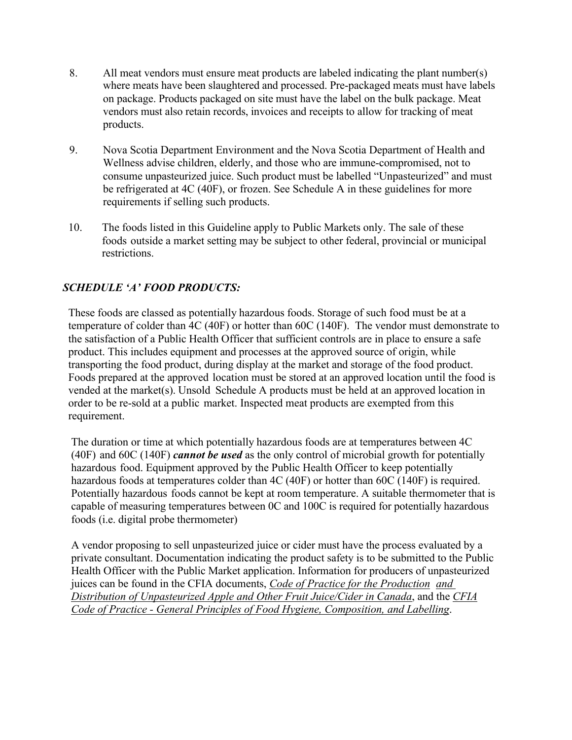- 8. All meat vendors must ensure meat products are labeled indicating the plant number(s) where meats have been slaughtered and processed. Pre-packaged meats must have labels on package. Products packaged on site must have the label on the bulk package. Meat vendors must also retain records, invoices and receipts to allow for tracking of meat products.
- 9. Nova Scotia Department Environment and the Nova Scotia Department of Health and Wellness advise children, elderly, and those who are immune-compromised, not to consume unpasteurized juice. Such product must be labelled "Unpasteurized" and must be refrigerated at 4C (40F), or frozen. See Schedule A in these guidelines for more requirements if selling such products.
- 10. The foods listed in this Guideline apply to Public Markets only. The sale of these foods outside a market setting may be subject to other federal, provincial or municipal restrictions.

# *SCHEDULE 'A' FOOD PRODUCTS:*

These foods are classed as potentially hazardous foods. Storage of such food must be at a temperature of colder than 4C (40F) or hotter than 60C (140F). The vendor must demonstrate to the satisfaction of a Public Health Officer that sufficient controls are in place to ensure a safe product. This includes equipment and processes at the approved source of origin, while transporting the food product, during display at the market and storage of the food product. Foods prepared at the approved location must be stored at an approved location until the food is vended at the market(s). Unsold Schedule A products must be held at an approved location in order to be re-sold at a public market. Inspected meat products are exempted from this requirement.

The duration or time at which potentially hazardous foods are at temperatures between 4C (40F) and 60C (140F) *cannot be used* as the only control of microbial growth for potentially hazardous food. Equipment approved by the Public Health Officer to keep potentially hazardous foods at temperatures colder than 4C (40F) or hotter than 60C (140F) is required. Potentially hazardous foods cannot be kept at room temperature. A suitable thermometer that is capable of measuring temperatures between 0C and 100C is required for potentially hazardous foods (i.e. digital probe thermometer)

A vendor proposing to sell unpasteurized juice or cider must have the process evaluated by a private consultant. Documentation indicating the product safety is to be submitted to the Public Health Officer with the Public Market application. Information for producers of unpasteurized juices can be found in the CFIA documents, *Code of Practice for the Production and Distribution of Unpasteurized Apple and Other Fruit Juice/Cider in Canada*, and the *CFIA Code of Practice - General Principles of Food Hygiene, Composition, and Labelling*.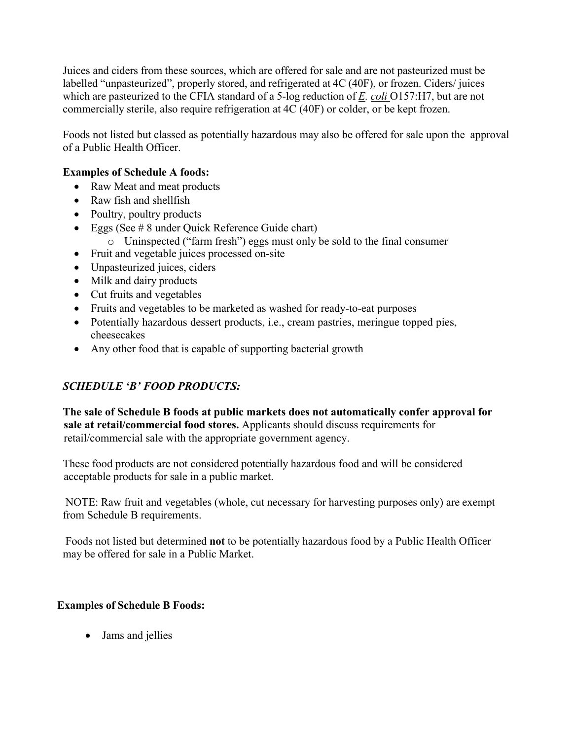Juices and ciders from these sources, which are offered for sale and are not pasteurized must be labelled "unpasteurized", properly stored, and refrigerated at 4C (40F), or frozen. Ciders/ juices which are pasteurized to the CFIA standard of a 5-log reduction of *E. coli* O157:H7, but are not commercially sterile, also require refrigeration at 4C (40F) or colder, or be kept frozen.

Foods not listed but classed as potentially hazardous may also be offered for sale upon the approval of a Public Health Officer.

### **Examples of Schedule A foods:**

- Raw Meat and meat products
- Raw fish and shellfish
- Poultry, poultry products
- Eggs (See  $\# 8$  under Quick Reference Guide chart)
	- o Uninspected ("farm fresh") eggs must only be sold to the final consumer
- Fruit and vegetable juices processed on-site
- Unpasteurized juices, ciders
- Milk and dairy products
- Cut fruits and vegetables
- Fruits and vegetables to be marketed as washed for ready-to-eat purposes
- Potentially hazardous dessert products, i.e., cream pastries, meringue topped pies, cheesecakes
- Any other food that is capable of supporting bacterial growth

## *SCHEDULE 'B' FOOD PRODUCTS:*

 **The sale of Schedule B foods at public markets does not automatically confer approval for sale at retail/commercial food stores.** Applicants should discuss requirements for retail/commercial sale with the appropriate government agency.

 These food products are not considered potentially hazardous food and will be considered acceptable products for sale in a public market.

NOTE: Raw fruit and vegetables (whole, cut necessary for harvesting purposes only) are exempt from Schedule B requirements.

Foods not listed but determined **not** to be potentially hazardous food by a Public Health Officer may be offered for sale in a Public Market.

### **Examples of Schedule B Foods:**

• Jams and jellies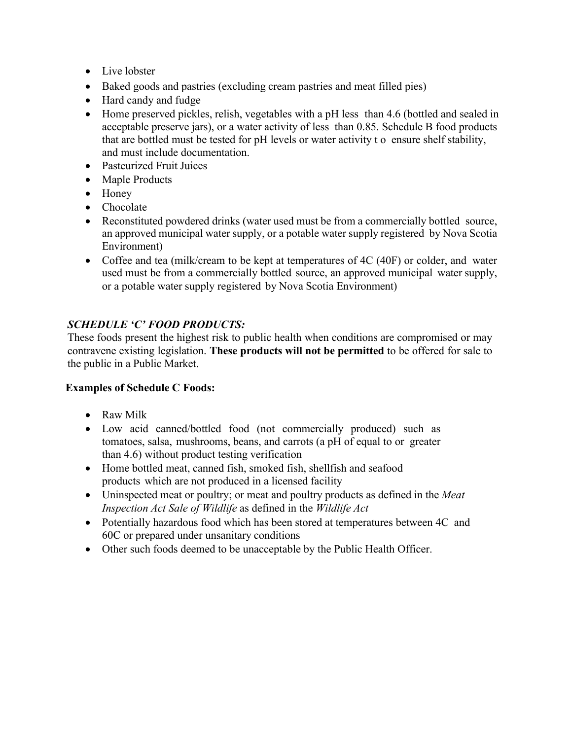- Live lobster
- Baked goods and pastries (excluding cream pastries and meat filled pies)
- Hard candy and fudge
- Home preserved pickles, relish, vegetables with a pH less than 4.6 (bottled and sealed in acceptable preserve jars), or a water activity of less than 0.85. Schedule B food products that are bottled must be tested for pH levels or water activity t o ensure shelf stability, and must include documentation.
- Pasteurized Fruit Juices
- Maple Products
- Honey
- Chocolate
- Reconstituted powdered drinks (water used must be from a commercially bottled source, an approved municipal water supply, or a potable water supply registered by Nova Scotia Environment)
- Coffee and tea (milk/cream to be kept at temperatures of 4C (40F) or colder, and water used must be from a commercially bottled source, an approved municipal water supply, or a potable water supply registered by Nova Scotia Environment)

### *SCHEDULE 'C' FOOD PRODUCTS:*

These foods present the highest risk to public health when conditions are compromised or may contravene existing legislation. **These products will not be permitted** to be offered for sale to the public in a Public Market.

### **Examples of Schedule C Foods:**

- Raw Milk
- Low acid canned/bottled food (not commercially produced) such as tomatoes, salsa, mushrooms, beans, and carrots (a pH of equal to or greater than 4.6) without product testing verification
- Home bottled meat, canned fish, smoked fish, shellfish and seafood products which are not produced in a licensed facility
- Uninspected meat or poultry; or meat and poultry products as defined in the *Meat Inspection Act Sale of Wildlife* as defined in the *Wildlife Act*
- Potentially hazardous food which has been stored at temperatures between 4C and 60C or prepared under unsanitary conditions
- Other such foods deemed to be unacceptable by the Public Health Officer.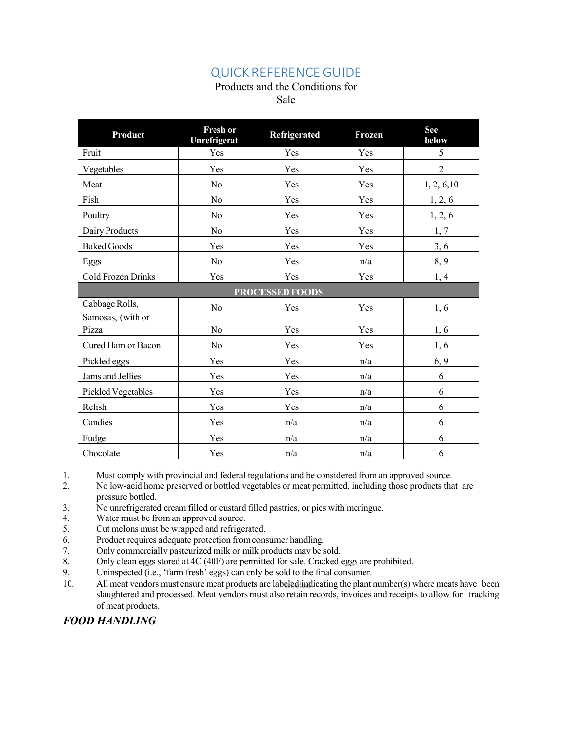# QUICK REFERENCE GUIDE

### Products and the Conditions for

Sale

| <b>Product</b>             | <b>Fresh or</b><br>Unrefrigerat | Refrigerated | <b>Frozen</b> | <b>See</b><br>below |  |
|----------------------------|---------------------------------|--------------|---------------|---------------------|--|
| Fruit                      | Yes                             | Yes          | Yes           | 5                   |  |
| Vegetables                 | Yes                             | Yes          | Yes           | $\overline{2}$      |  |
| Meat                       | No                              | Yes          | Yes           | 1, 2, 6, 10         |  |
| Fish                       | No                              | Yes          | Yes           | 1, 2, 6             |  |
| Poultry                    | No                              | Yes          | Yes           | 1, 2, 6             |  |
| Dairy Products             | No                              | Yes          | Yes           | 1, 7                |  |
| <b>Baked Goods</b>         | Yes                             | Yes          | Yes           | 3, 6                |  |
| Eggs                       | No                              | Yes          | n/a           | 8,9                 |  |
| Cold Frozen Drinks         | Yes                             | Yes          | Yes           | 1, 4                |  |
| <b>PROCESSED FOODS</b>     |                                 |              |               |                     |  |
| Cabbage Rolls,             | No                              | Yes          | Yes           | 1,6                 |  |
| Samosas, (with or<br>Pizza | No                              | Yes          | Yes           | 1,6                 |  |
| Cured Ham or Bacon         | No                              | Yes          | Yes           | 1,6                 |  |
| Pickled eggs               | Yes                             | Yes          | n/a           | 6, 9                |  |
| Jams and Jellies           | Yes                             | Yes          | n/a           | 6                   |  |
| Pickled Vegetables         | Yes                             | Yes          | n/a           | 6                   |  |
| Relish                     | Yes                             | Yes          | n/a           | 6                   |  |
| Candies                    | Yes                             | n/a          | n/a           | 6                   |  |
| Fudge                      | Yes                             | n/a          | n/a           | 6                   |  |
| Chocolate                  | Yes                             | n/a          | n/a           | 6                   |  |

1. Must comply with provincial and federal regulations and be considered from an approved source.

- 2. No low-acid home preserved or bottled vegetables or meat permitted, including those products that are pressure bottled.
- 3. No unrefrigerated cream filled or custard filled pastries, or pies with meringue.
- 4. Water must be from an approved source.
- 5. Cut melons must be wrapped and refrigerated.
- 6. Product requires adequate protection from consumer handling.
- 7. Only commercially pasteurized milk or milk products may be sold.
- 8. Only clean eggs stored at 4C (40F) are permitted for sale. Cracked eggs are prohibited.
- 9. Uninspected (i.e., 'farm fresh' eggs) can only be sold to the final consumer.
- 10. All meat vendors must ensure meat products are labeled indicating the plant number(s) where meats have been slaughtered and processed. Meat vendors must also retain records, invoices and receipts to allow for tracking of meat products.

### *FOOD HANDLING*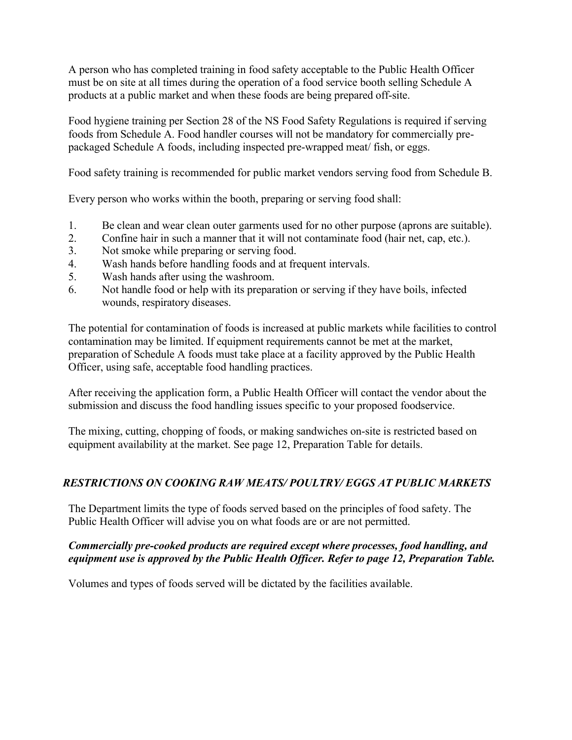A person who has completed training in food safety acceptable to the Public Health Officer must be on site at all times during the operation of a food service booth selling Schedule A products at a public market and when these foods are being prepared off-site.

Food hygiene training per Section 28 of the NS Food Safety Regulations is required if serving foods from Schedule A. Food handler courses will not be mandatory for commercially prepackaged Schedule A foods, including inspected pre-wrapped meat/ fish, or eggs.

Food safety training is recommended for public market vendors serving food from Schedule B.

Every person who works within the booth, preparing or serving food shall:

- 1. Be clean and wear clean outer garments used for no other purpose (aprons are suitable).
- 2. Confine hair in such a manner that it will not contaminate food (hair net, cap, etc.).
- 3. Not smoke while preparing or serving food.
- 4. Wash hands before handling foods and at frequent intervals.
- 5. Wash hands after using the washroom.
- 6. Not handle food or help with its preparation or serving if they have boils, infected wounds, respiratory diseases.

The potential for contamination of foods is increased at public markets while facilities to control contamination may be limited. If equipment requirements cannot be met at the market, preparation of Schedule A foods must take place at a facility approved by the Public Health Officer, using safe, acceptable food handling practices.

After receiving the application form, a Public Health Officer will contact the vendor about the submission and discuss the food handling issues specific to your proposed foodservice.

The mixing, cutting, chopping of foods, or making sandwiches on-site is restricted based on equipment availability at the market. See page 12, Preparation Table for details.

# *RESTRICTIONS ON COOKING RAW MEATS/ POULTRY/ EGGS AT PUBLIC MARKETS*

The Department limits the type of foods served based on the principles of food safety. The Public Health Officer will advise you on what foods are or are not permitted.

### *Commercially pre-cooked products are required except where processes, food handling, and equipment use is approved by the Public Health Officer. Refer to page 12, Preparation Table.*

Volumes and types of foods served will be dictated by the facilities available.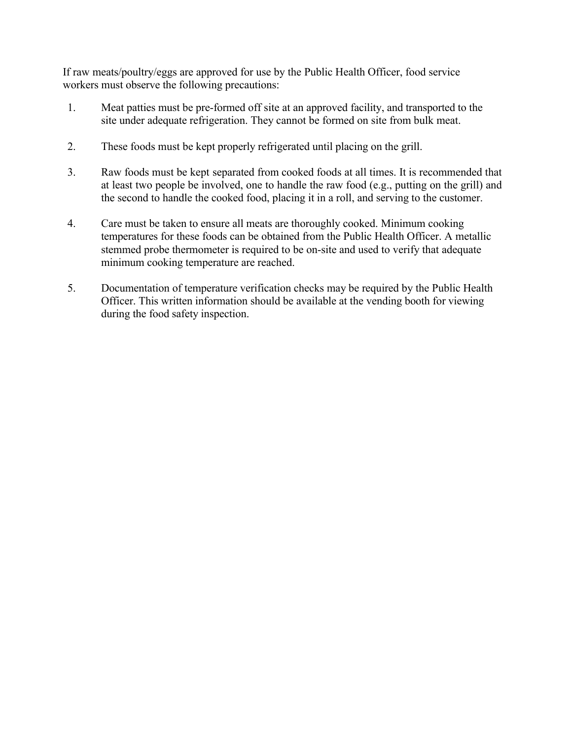If raw meats/poultry/eggs are approved for use by the Public Health Officer, food service workers must observe the following precautions:

- 1. Meat patties must be pre-formed off site at an approved facility, and transported to the site under adequate refrigeration. They cannot be formed on site from bulk meat.
- 2. These foods must be kept properly refrigerated until placing on the grill.
- 3. Raw foods must be kept separated from cooked foods at all times. It is recommended that at least two people be involved, one to handle the raw food (e.g., putting on the grill) and the second to handle the cooked food, placing it in a roll, and serving to the customer.
- 4. Care must be taken to ensure all meats are thoroughly cooked. Minimum cooking temperatures for these foods can be obtained from the Public Health Officer. A metallic stemmed probe thermometer is required to be on-site and used to verify that adequate minimum cooking temperature are reached.
- 5. Documentation of temperature verification checks may be required by the Public Health Officer. This written information should be available at the vending booth for viewing during the food safety inspection.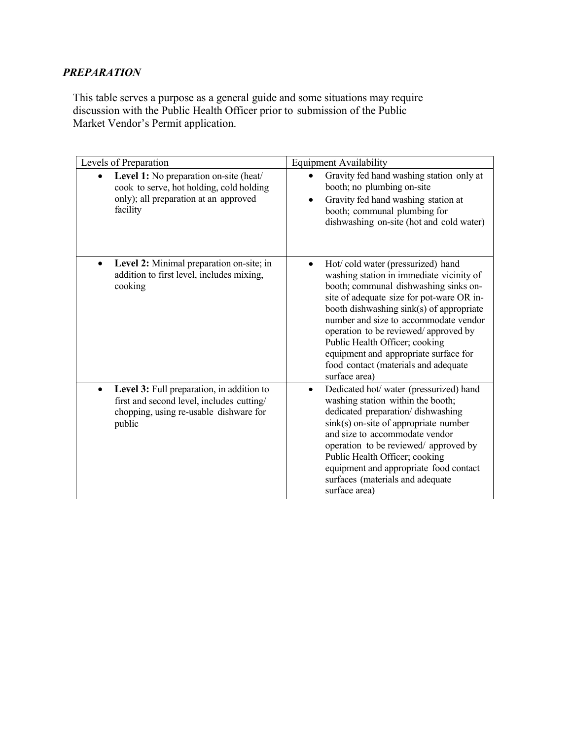# *PREPARATION*

This table serves a purpose as a general guide and some situations may require discussion with the Public Health Officer prior to submission of the Public Market Vendor's Permit application.

| Levels of Preparation                                                                                                                      | <b>Equipment Availability</b>                                                                                                                                                                                                                                                                                                                                                                                                        |  |  |
|--------------------------------------------------------------------------------------------------------------------------------------------|--------------------------------------------------------------------------------------------------------------------------------------------------------------------------------------------------------------------------------------------------------------------------------------------------------------------------------------------------------------------------------------------------------------------------------------|--|--|
| Level 1: No preparation on-site (heat/<br>cook to serve, hot holding, cold holding<br>only); all preparation at an approved<br>facility    | Gravity fed hand washing station only at<br>booth; no plumbing on-site<br>Gravity fed hand washing station at<br>booth; communal plumbing for<br>dishwashing on-site (hot and cold water)                                                                                                                                                                                                                                            |  |  |
| Level 2: Minimal preparation on-site; in<br>$\bullet$<br>addition to first level, includes mixing,<br>cooking                              | Hot/cold water (pressurized) hand<br>washing station in immediate vicinity of<br>booth; communal dishwashing sinks on-<br>site of adequate size for pot-ware OR in-<br>booth dishwashing sink(s) of appropriate<br>number and size to accommodate vendor<br>operation to be reviewed/approved by<br>Public Health Officer; cooking<br>equipment and appropriate surface for<br>food contact (materials and adequate<br>surface area) |  |  |
| Level 3: Full preparation, in addition to<br>first and second level, includes cutting/<br>chopping, using re-usable dishware for<br>public | Dedicated hot/ water (pressurized) hand<br>$\bullet$<br>washing station within the booth;<br>dedicated preparation/dishwashing<br>sink(s) on-site of appropriate number<br>and size to accommodate vendor<br>operation to be reviewed/ approved by<br>Public Health Officer; cooking<br>equipment and appropriate food contact<br>surfaces (materials and adequate<br>surface area)                                                  |  |  |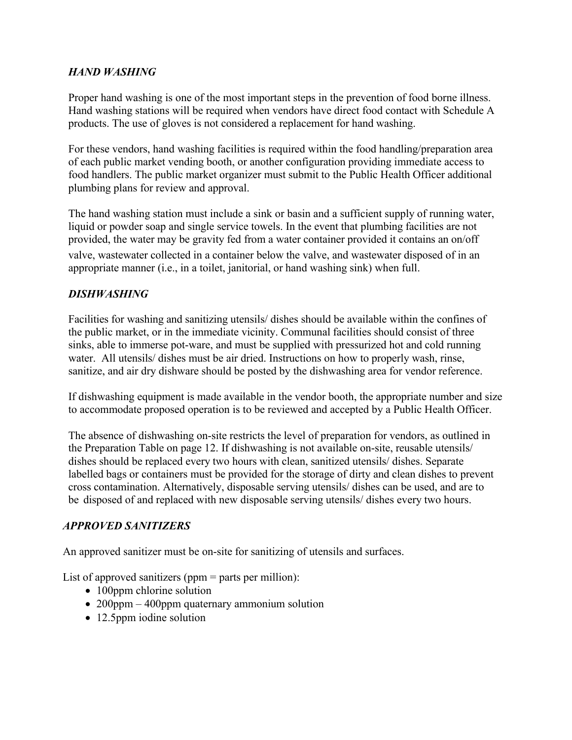### *HAND WASHING*

Proper hand washing is one of the most important steps in the prevention of food borne illness. Hand washing stations will be required when vendors have direct food contact with Schedule A products. The use of gloves is not considered a replacement for hand washing.

For these vendors, hand washing facilities is required within the food handling/preparation area of each public market vending booth, or another configuration providing immediate access to food handlers. The public market organizer must submit to the Public Health Officer additional plumbing plans for review and approval.

The hand washing station must include a sink or basin and a sufficient supply of running water, liquid or powder soap and single service towels. In the event that plumbing facilities are not provided, the water may be gravity fed from a water container provided it contains an on/off valve, wastewater collected in a container below the valve, and wastewater disposed of in an appropriate manner (i.e., in a toilet, janitorial, or hand washing sink) when full.

### *DISHWASHING*

Facilities for washing and sanitizing utensils/ dishes should be available within the confines of the public market, or in the immediate vicinity. Communal facilities should consist of three sinks, able to immerse pot-ware, and must be supplied with pressurized hot and cold running water. All utensils/ dishes must be air dried. Instructions on how to properly wash, rinse, sanitize, and air dry dishware should be posted by the dishwashing area for vendor reference.

If dishwashing equipment is made available in the vendor booth, the appropriate number and size to accommodate proposed operation is to be reviewed and accepted by a Public Health Officer.

The absence of dishwashing on-site restricts the level of preparation for vendors, as outlined in the Preparation Table on page 12. If dishwashing is not available on-site, reusable utensils/ dishes should be replaced every two hours with clean, sanitized utensils/ dishes. Separate labelled bags or containers must be provided for the storage of dirty and clean dishes to prevent cross contamination. Alternatively, disposable serving utensils/ dishes can be used, and are to be disposed of and replaced with new disposable serving utensils/ dishes every two hours.

### *APPROVED SANITIZERS*

An approved sanitizer must be on-site for sanitizing of utensils and surfaces.

List of approved sanitizers (ppm = parts per million):

- 100ppm chlorine solution
- 200ppm 400ppm quaternary ammonium solution
- 12.5ppm iodine solution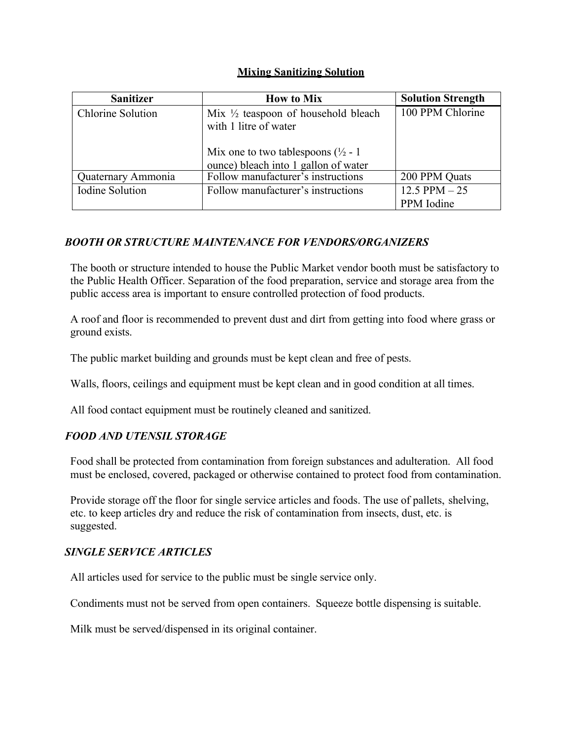#### **Mixing Sanitizing Solution**

| <b>Sanitizer</b>       | <b>How to Mix</b>                                                                                                                                                 | <b>Solution Strength</b>       |
|------------------------|-------------------------------------------------------------------------------------------------------------------------------------------------------------------|--------------------------------|
| Chlorine Solution      | Mix $\frac{1}{2}$ teaspoon of household bleach<br>with 1 litre of water<br>Mix one to two tablespoons ( $\frac{1}{2}$ - 1<br>ounce) bleach into 1 gallon of water | 100 PPM Chlorine               |
| Quaternary Ammonia     | Follow manufacturer's instructions                                                                                                                                | 200 PPM Quats                  |
| <b>Iodine Solution</b> | Follow manufacturer's instructions                                                                                                                                | $12.5$ PPM $-25$<br>PPM Iodine |

### *BOOTH OR STRUCTURE MAINTENANCE FOR VENDORS/ORGANIZERS*

The booth or structure intended to house the Public Market vendor booth must be satisfactory to the Public Health Officer. Separation of the food preparation, service and storage area from the public access area is important to ensure controlled protection of food products.

A roof and floor is recommended to prevent dust and dirt from getting into food where grass or ground exists.

The public market building and grounds must be kept clean and free of pests.

Walls, floors, ceilings and equipment must be kept clean and in good condition at all times.

All food contact equipment must be routinely cleaned and sanitized.

#### *FOOD AND UTENSIL STORAGE*

Food shall be protected from contamination from foreign substances and adulteration. All food must be enclosed, covered, packaged or otherwise contained to protect food from contamination.

Provide storage off the floor for single service articles and foods. The use of pallets, shelving, etc. to keep articles dry and reduce the risk of contamination from insects, dust, etc. is suggested.

#### *SINGLE SERVICE ARTICLES*

All articles used for service to the public must be single service only.

Condiments must not be served from open containers. Squeeze bottle dispensing is suitable.

Milk must be served/dispensed in its original container.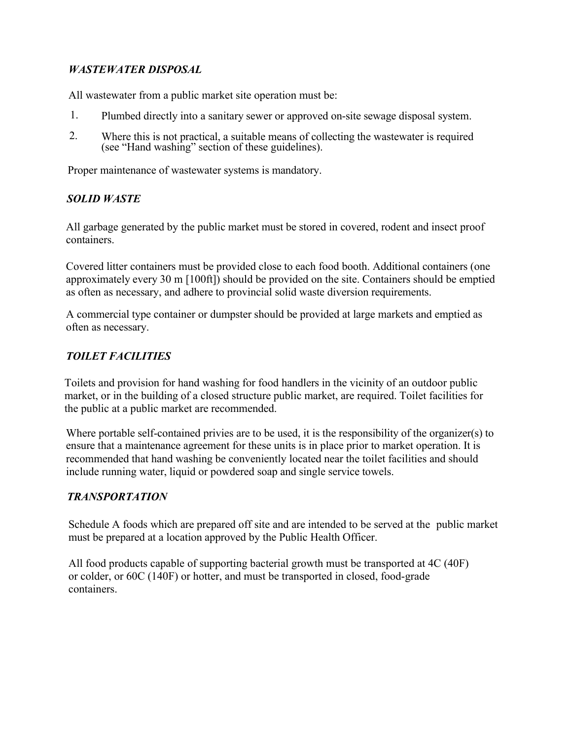### *WASTEWATER DISPOSAL*

All wastewater from a public market site operation must be:

- 1. Plumbed directly into a sanitary sewer or approved on-site sewage disposal system.
- 2. Where this is not practical, <sup>a</sup> suitable means of collecting the wastewater is required (see "Hand washing" section of these guidelines).

Proper maintenance of wastewater systems is mandatory.

### *SOLID WASTE*

All garbage generated by the public market must be stored in covered, rodent and insect proof containers.

Covered litter containers must be provided close to each food booth. Additional containers (one approximately every 30 m [100ft]) should be provided on the site. Containers should be emptied as often as necessary, and adhere to provincial solid waste diversion requirements.

A commercial type container or dumpster should be provided at large markets and emptied as often as necessary.

## *TOILET FACILITIES*

Toilets and provision for hand washing for food handlers in the vicinity of an outdoor public market, or in the building of a closed structure public market, are required. Toilet facilities for the public at a public market are recommended.

Where portable self-contained privies are to be used, it is the responsibility of the organizer(s) to ensure that a maintenance agreement for these units is in place prior to market operation. It is recommended that hand washing be conveniently located near the toilet facilities and should include running water, liquid or powdered soap and single service towels.

## *TRANSPORTATION*

Schedule A foods which are prepared off site and are intended to be served at the public market must be prepared at a location approved by the Public Health Officer.

All food products capable of supporting bacterial growth must be transported at 4C (40F) or colder, or 60C (140F) or hotter, and must be transported in closed, food-grade containers.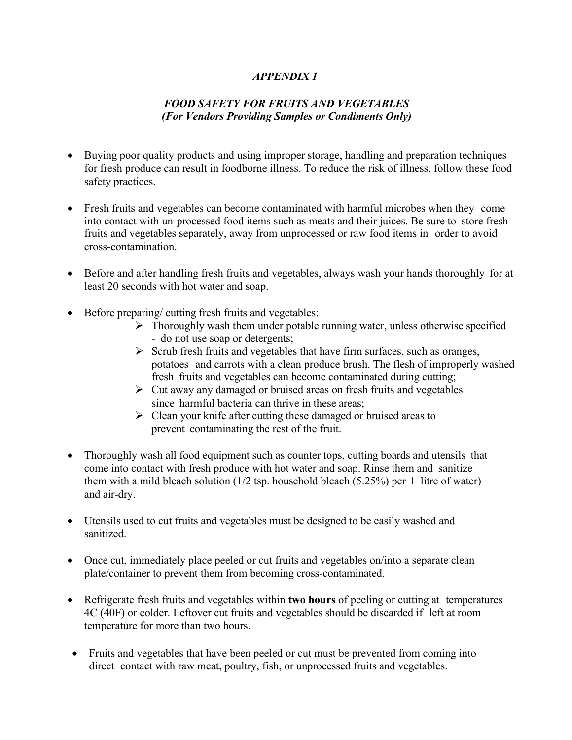### *APPENDIX 1*

## *FOOD SAFETY FOR FRUITS AND VEGETABLES (For Vendors Providing Samples or Condiments Only)*

- Buying poor quality products and using improper storage, handling and preparation techniques for fresh produce can result in foodborne illness. To reduce the risk of illness, follow these food safety practices.
- Fresh fruits and vegetables can become contaminated with harmful microbes when they come into contact with un-processed food items such as meats and their juices. Be sure to store fresh fruits and vegetables separately, away from unprocessed or raw food items in order to avoid cross-contamination.
- Before and after handling fresh fruits and vegetables, always wash your hands thoroughly for at least 20 seconds with hot water and soap.
- Before preparing/ cutting fresh fruits and vegetables:
	- $\triangleright$  Thoroughly wash them under potable running water, unless otherwise specified - do not use soap or detergents;
	- $\triangleright$  Scrub fresh fruits and vegetables that have firm surfaces, such as oranges, potatoes and carrots with a clean produce brush. The flesh of improperly washed fresh fruits and vegetables can become contaminated during cutting;
	- $\triangleright$  Cut away any damaged or bruised areas on fresh fruits and vegetables since harmful bacteria can thrive in these areas;
	- $\triangleright$  Clean your knife after cutting these damaged or bruised areas to prevent contaminating the rest of the fruit.
- Thoroughly wash all food equipment such as counter tops, cutting boards and utensils that come into contact with fresh produce with hot water and soap. Rinse them and sanitize them with a mild bleach solution  $(1/2 \text{ tsp.}$  household bleach  $(5.25\%)$  per 1 litre of water) and air-dry.
- Utensils used to cut fruits and vegetables must be designed to be easily washed and sanitized.
- Once cut, immediately place peeled or cut fruits and vegetables on/into a separate clean plate/container to prevent them from becoming cross-contaminated.
- Refrigerate fresh fruits and vegetables within **two hours** of peeling or cutting at temperatures 4C (40F) or colder. Leftover cut fruits and vegetables should be discarded if left at room temperature for more than two hours.
- Fruits and vegetables that have been peeled or cut must be prevented from coming into direct contact with raw meat, poultry, fish, or unprocessed fruits and vegetables.